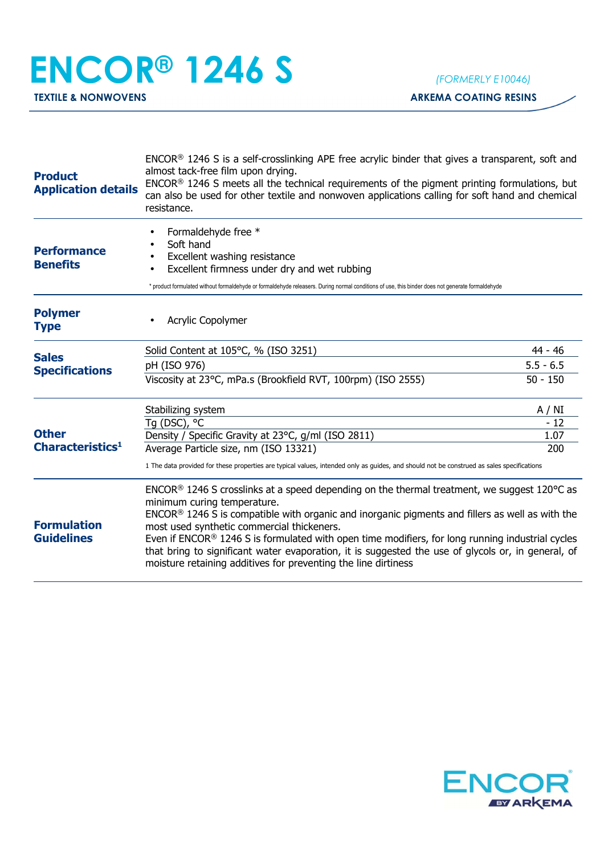## **ENCOR® 1246 S** *(FORMERLY E10046)*

**TEXTILE & NONWOVENS ARKEMA COATING RESINS** 

| <b>Product</b><br><b>Application details</b>                                                                                                                                                                                                                                                                                                                                                                                                                                                                                                                                                                      | ENCOR <sup>®</sup> 1246 S is a self-crosslinking APE free acrylic binder that gives a transparent, soft and<br>almost tack-free film upon drying.<br>ENCOR <sup>®</sup> 1246 S meets all the technical requirements of the pigment printing formulations, but<br>can also be used for other textile and nonwoven applications calling for soft hand and chemical<br>resistance. |             |
|-------------------------------------------------------------------------------------------------------------------------------------------------------------------------------------------------------------------------------------------------------------------------------------------------------------------------------------------------------------------------------------------------------------------------------------------------------------------------------------------------------------------------------------------------------------------------------------------------------------------|---------------------------------------------------------------------------------------------------------------------------------------------------------------------------------------------------------------------------------------------------------------------------------------------------------------------------------------------------------------------------------|-------------|
| <b>Performance</b><br><b>Benefits</b>                                                                                                                                                                                                                                                                                                                                                                                                                                                                                                                                                                             | Formaldehyde free *<br>Soft hand<br>Excellent washing resistance<br>Excellent firmness under dry and wet rubbing<br>* product formulated without formaldehyde or formaldehyde releasers. During normal conditions of use, this binder does not generate formaldehyde                                                                                                            |             |
| <b>Polymer</b><br><b>Type</b>                                                                                                                                                                                                                                                                                                                                                                                                                                                                                                                                                                                     | <b>Acrylic Copolymer</b>                                                                                                                                                                                                                                                                                                                                                        |             |
|                                                                                                                                                                                                                                                                                                                                                                                                                                                                                                                                                                                                                   | Solid Content at 105°C, % (ISO 3251)                                                                                                                                                                                                                                                                                                                                            | 44 - 46     |
| <b>Sales</b><br><b>Specifications</b><br><b>Other</b><br>Characteristics <sup>1</sup>                                                                                                                                                                                                                                                                                                                                                                                                                                                                                                                             | pH (ISO 976)                                                                                                                                                                                                                                                                                                                                                                    | $5.5 - 6.5$ |
|                                                                                                                                                                                                                                                                                                                                                                                                                                                                                                                                                                                                                   | Viscosity at 23°C, mPa.s (Brookfield RVT, 100rpm) (ISO 2555)                                                                                                                                                                                                                                                                                                                    | $50 - 150$  |
|                                                                                                                                                                                                                                                                                                                                                                                                                                                                                                                                                                                                                   | Stabilizing system                                                                                                                                                                                                                                                                                                                                                              | A / NI      |
|                                                                                                                                                                                                                                                                                                                                                                                                                                                                                                                                                                                                                   | Tq (DSC), °C                                                                                                                                                                                                                                                                                                                                                                    | $-12$       |
|                                                                                                                                                                                                                                                                                                                                                                                                                                                                                                                                                                                                                   | Density / Specific Gravity at 23°C, g/ml (ISO 2811)                                                                                                                                                                                                                                                                                                                             | 1.07        |
|                                                                                                                                                                                                                                                                                                                                                                                                                                                                                                                                                                                                                   | Average Particle size, nm (ISO 13321)                                                                                                                                                                                                                                                                                                                                           | 200         |
|                                                                                                                                                                                                                                                                                                                                                                                                                                                                                                                                                                                                                   | 1 The data provided for these properties are typical values, intended only as guides, and should not be construed as sales specifications                                                                                                                                                                                                                                       |             |
| $ENCOR®$ 1246 S crosslinks at a speed depending on the thermal treatment, we suggest 120 °C as<br>minimum curing temperature.<br>ENCOR® 1246 S is compatible with organic and inorganic pigments and fillers as well as with the<br><b>Formulation</b><br>most used synthetic commercial thickeners.<br><b>Guidelines</b><br>Even if ENCOR <sup>®</sup> 1246 S is formulated with open time modifiers, for long running industrial cycles<br>that bring to significant water evaporation, it is suggested the use of glycols or, in general, of<br>moisture retaining additives for preventing the line dirtiness |                                                                                                                                                                                                                                                                                                                                                                                 |             |